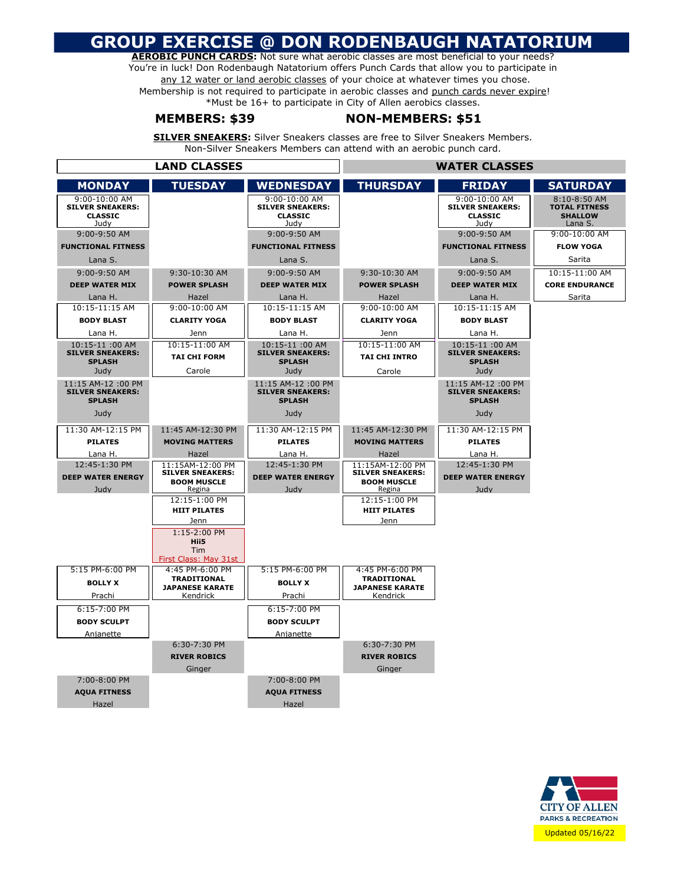## **GROUP EXERCISE @ DON RODENBAUGH NATATORIUM**

**AEROBIC PUNCH CARDS:** Not sure what aerobic classes are most beneficial to your needs? You're in luck! Don Rodenbaugh Natatorium offers Punch Cards that allow you to participate in any 12 water or land aerobic classes of your choice at whatever times you chose. Membership is not required to participate in aerobic classes and punch cards never expire! \*Must be 16+ to participate in City of Allen aerobics classes.

### **MEMBERS: \$39 NON-MEMBERS: \$51**

**SILVER SNEAKERS:** Silver Sneakers classes are free to Silver Sneakers Members. Non-Silver Sneakers Members can attend with an aerobic punch card.

| <b>LAND CLASSES</b>                      |                                             |                                           | <b>WATER CLASSES</b>                        |                                           |                                      |
|------------------------------------------|---------------------------------------------|-------------------------------------------|---------------------------------------------|-------------------------------------------|--------------------------------------|
| <b>MONDAY</b>                            | <b>TUESDAY</b>                              | <b>WEDNESDAY</b>                          | <b>THURSDAY</b>                             | <b>FRIDAY</b>                             | <b>SATURDAY</b>                      |
| 9:00-10:00 AM<br><b>SILVER SNEAKERS:</b> |                                             | 9:00-10:00 AM<br><b>SILVER SNEAKERS:</b>  |                                             | 9:00-10:00 AM<br><b>SILVER SNEAKERS:</b>  | 8:10-8:50 AM<br><b>TOTAL FITNESS</b> |
| <b>CLASSIC</b>                           |                                             | <b>CLASSIC</b>                            |                                             | <b>CLASSIC</b>                            | <b>SHALLOW</b>                       |
| Judy<br>9:00-9:50 AM                     |                                             | Judv                                      |                                             | Judv                                      | Lana S.<br>9:00-10:00 AM             |
| <b>FUNCTIONAL FITNESS</b>                |                                             | 9:00-9:50 AM<br><b>FUNCTIONAL FITNESS</b> |                                             | 9:00-9:50 AM<br><b>FUNCTIONAL FITNESS</b> | <b>FLOW YOGA</b>                     |
|                                          |                                             |                                           |                                             |                                           | Sarita                               |
| Lana S.<br>9:00-9:50 AM                  | 9:30-10:30 AM                               | Lana S.<br>9:00-9:50 AM                   | 9:30-10:30 AM                               | Lana S.<br>9:00-9:50 AM                   | 10:15-11:00 AM                       |
| <b>DEEP WATER MIX</b>                    | <b>POWER SPLASH</b>                         | <b>DEEP WATER MIX</b>                     | <b>POWER SPLASH</b>                         | <b>DEEP WATER MIX</b>                     | <b>CORE ENDURANCE</b>                |
| Lana H.                                  | Hazel                                       | Lana H.                                   | Hazel                                       | Lana H.                                   | Sarita                               |
| 10:15-11:15 AM                           | 9:00-10:00 AM                               | 10:15-11:15 AM                            | 9:00-10:00 AM                               | 10:15-11:15 AM                            |                                      |
| <b>BODY BLAST</b>                        | <b>CLARITY YOGA</b>                         | <b>BODY BLAST</b>                         | <b>CLARITY YOGA</b>                         | <b>BODY BLAST</b>                         |                                      |
| Lana H.                                  | Jenn                                        | Lana H.                                   | Jenn                                        | Lana H.                                   |                                      |
| 10:15-11:00 AM                           | 10:15-11:00 AM                              | 10:15-11:00 AM                            | 10:15-11:00 AM                              | 10:15-11:00 AM                            |                                      |
| <b>SILVER SNEAKERS:</b><br><b>SPLASH</b> | <b>TAI CHI FORM</b>                         | <b>SILVER SNEAKERS:</b><br><b>SPLASH</b>  | <b>TAI CHI INTRO</b>                        | <b>SILVER SNEAKERS:</b><br><b>SPLASH</b>  |                                      |
| Judy                                     | Carole                                      | Judy                                      | Carole                                      | Judy                                      |                                      |
| 11:15 AM-12:00 PM                        |                                             | 11:15 AM-12:00 PM                         |                                             | 11:15 AM-12:00 PM                         |                                      |
| <b>SILVER SNEAKERS:</b><br><b>SPLASH</b> |                                             | <b>SILVER SNEAKERS:</b><br><b>SPLASH</b>  |                                             | <b>SILVER SNEAKERS:</b><br><b>SPLASH</b>  |                                      |
|                                          |                                             |                                           |                                             |                                           |                                      |
| Judy                                     |                                             | Judy                                      |                                             | Judy                                      |                                      |
| 11:30 AM-12:15 PM                        | 11:45 AM-12:30 PM                           | 11:30 AM-12:15 PM                         | 11:45 AM-12:30 PM                           | 11:30 AM-12:15 PM                         |                                      |
| <b>PILATES</b>                           | <b>MOVING MATTERS</b>                       | <b>PILATES</b>                            | <b>MOVING MATTERS</b>                       | <b>PILATES</b>                            |                                      |
| Lana H.                                  | Hazel                                       | Lana H.                                   | Hazel                                       | Lana H.                                   |                                      |
| 12:45-1:30 PM                            | 11:15AM-12:00 PM<br><b>SILVER SNEAKERS:</b> | 12:45-1:30 PM                             | 11:15AM-12:00 PM<br><b>SILVER SNEAKERS:</b> | 12:45-1:30 PM                             |                                      |
| <b>DEEP WATER ENERGY</b>                 | <b>BOOM MUSCLE</b>                          | <b>DEEP WATER ENERGY</b>                  | <b>BOOM MUSCLE</b>                          | <b>DEEP WATER ENERGY</b>                  |                                      |
| Judy                                     | Regina<br>12:15-1:00 PM                     | Judy                                      | Regina<br>12:15-1:00 PM                     | Judy                                      |                                      |
|                                          | <b>HIIT PILATES</b>                         |                                           | <b>HIIT PILATES</b>                         |                                           |                                      |
|                                          | Jenn                                        |                                           | Jenn                                        |                                           |                                      |
|                                          | $1:15-2:00$ PM                              |                                           |                                             |                                           |                                      |
|                                          | Hii5<br>Tim                                 |                                           |                                             |                                           |                                      |
|                                          | First Class: May 31st                       |                                           |                                             |                                           |                                      |
| 5:15 PM-6:00 PM                          | 4:45 PM-6:00 PM<br><b>TRADITIONAL</b>       | 5:15 PM-6:00 PM                           | 4:45 PM-6:00 PM<br><b>TRADITIONAL</b>       |                                           |                                      |
| <b>BOLLY X</b>                           | <b>JAPANESE KARATE</b>                      | <b>BOLLY X</b>                            | <b>JAPANESE KARATE</b>                      |                                           |                                      |
| Prachi                                   | Kendrick                                    | Prachi                                    | Kendrick                                    |                                           |                                      |
| 6:15-7:00 PM                             |                                             | 6:15-7:00 PM                              |                                             |                                           |                                      |
| <b>BODY SCULPT</b>                       |                                             | <b>BODY SCULPT</b>                        |                                             |                                           |                                      |
| Anianette                                |                                             | Anianette                                 |                                             |                                           |                                      |
|                                          | 6:30-7:30 PM                                |                                           | 6:30-7:30 PM                                |                                           |                                      |
|                                          | <b>RIVER ROBICS</b>                         |                                           | <b>RIVER ROBICS</b>                         |                                           |                                      |
|                                          | Ginger                                      |                                           | Ginger                                      |                                           |                                      |
| 7:00-8:00 PM                             |                                             | 7:00-8:00 PM                              |                                             |                                           |                                      |
| <b>AQUA FITNESS</b><br>Hazel             |                                             | <b>AQUA FITNESS</b><br>Hazel              |                                             |                                           |                                      |
|                                          |                                             |                                           |                                             |                                           |                                      |